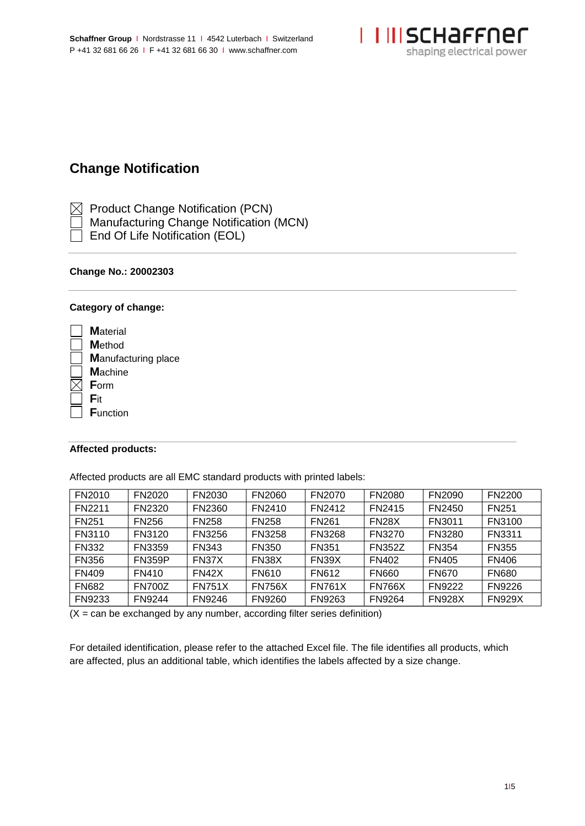

# **Change Notification**

 $\boxtimes$  Product Change Notification (PCN)

- Manufacturing Change Notification (MCN)
- End Of Life Notification (EOL)

# **Change No.: 20002303**

# **Category of change:**

| <b>M</b> aterial           |
|----------------------------|
| <b>M</b> ethod             |
| <b>Manufacturing place</b> |
| <b>M</b> achine            |
| Form                       |
| Fit                        |
| <b>Function</b>            |
|                            |

# **Affected products:**

Affected products are all EMC standard products with printed labels:

| FN2010        | FN2020        | FN2030        | FN2060        | FN2070        | <b>FN2080</b> | FN2090        | <b>FN2200</b> |
|---------------|---------------|---------------|---------------|---------------|---------------|---------------|---------------|
| <b>FN2211</b> | FN2320        | FN2360        | FN2410        | FN2412        | <b>FN2415</b> | FN2450        | <b>FN251</b>  |
| <b>FN251</b>  | <b>FN256</b>  | <b>FN258</b>  | <b>FN258</b>  | <b>FN261</b>  | <b>FN28X</b>  | FN3011        | FN3100        |
| FN3110        | FN3120        | FN3256        | <b>FN3258</b> | FN3268        | FN3270        | FN3280        | FN3311        |
| <b>FN332</b>  | FN3359        | <b>FN343</b>  | <b>FN350</b>  | <b>FN351</b>  | <b>FN352Z</b> | <b>FN354</b>  | <b>FN355</b>  |
| <b>FN356</b>  | <b>FN359P</b> | FN37X         | FN38X         | FN39X         | <b>FN402</b>  | <b>FN405</b>  | <b>FN406</b>  |
| <b>FN409</b>  | <b>FN410</b>  | <b>FN42X</b>  | FN610         | FN612         | <b>FN660</b>  | <b>FN670</b>  | <b>FN680</b>  |
| <b>FN682</b>  | <b>FN700Z</b> | <b>FN751X</b> | <b>FN756X</b> | <b>FN761X</b> | <b>FN766X</b> | <b>FN9222</b> | <b>FN9226</b> |
| FN9233        | <b>FN9244</b> | FN9246        | FN9260        | FN9263        | <b>FN9264</b> | <b>FN928X</b> | <b>FN929X</b> |

 $(X = \text{can be exchanged by any number, according filter series definition})$ 

For detailed identification, please refer to the attached Excel file. The file identifies all products, which are affected, plus an additional table, which identifies the labels affected by a size change.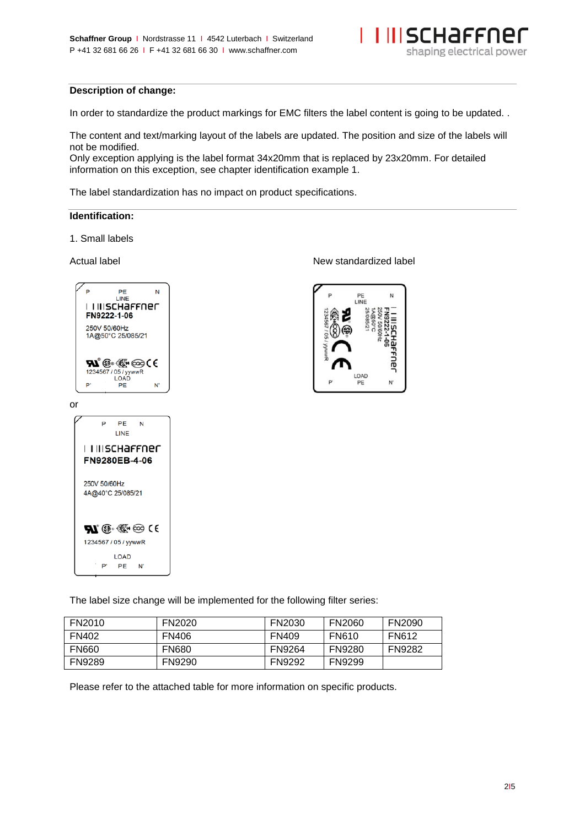

### **Description of change:**

In order to standardize the product markings for EMC filters the label content is going to be updated. .

The content and text/marking layout of the labels are updated. The position and size of the labels will not be modified.

Only exception applying is the label format 34x20mm that is replaced by 23x20mm. For detailed information on this exception, see chapter identification example 1.

The label standardization has no impact on product specifications.

### **Identification:**

1. Small labels





Actual label **Actual label** New standardized label



The label size change will be implemented for the following filter series:

| FN2010        | <b>FN2020</b> | FN2030        | <b>FN2060</b> | <b>FN2090</b> |
|---------------|---------------|---------------|---------------|---------------|
| <b>FN402</b>  | <b>FN406</b>  | <b>FN409</b>  | <b>FN610</b>  | <b>FN612</b>  |
| <b>FN660</b>  | <b>FN680</b>  | <b>FN9264</b> | <b>FN9280</b> | <b>FN9282</b> |
| <b>FN9289</b> | <b>FN9290</b> | <b>FN9292</b> | <b>FN9299</b> |               |

Please refer to the attached table for more information on specific products.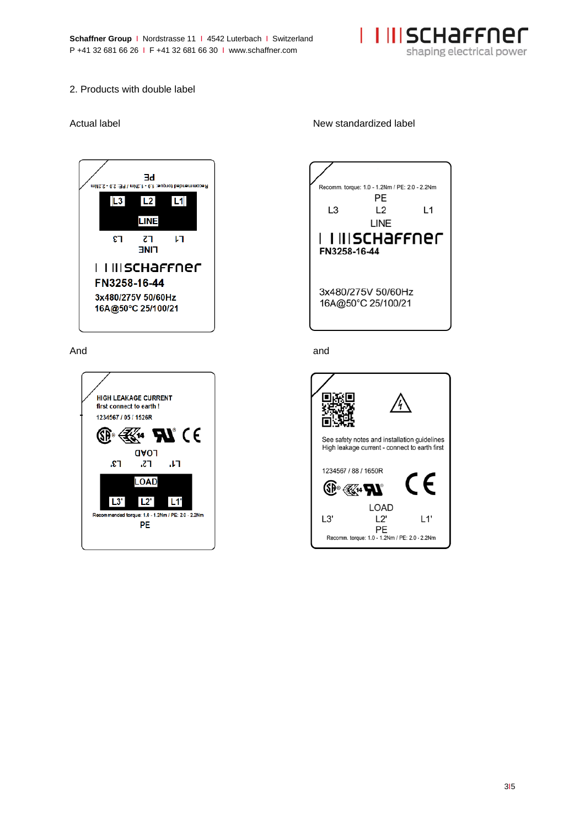

## 2. Products with double label





### Actual label **Actual label** New standardized label



### And and

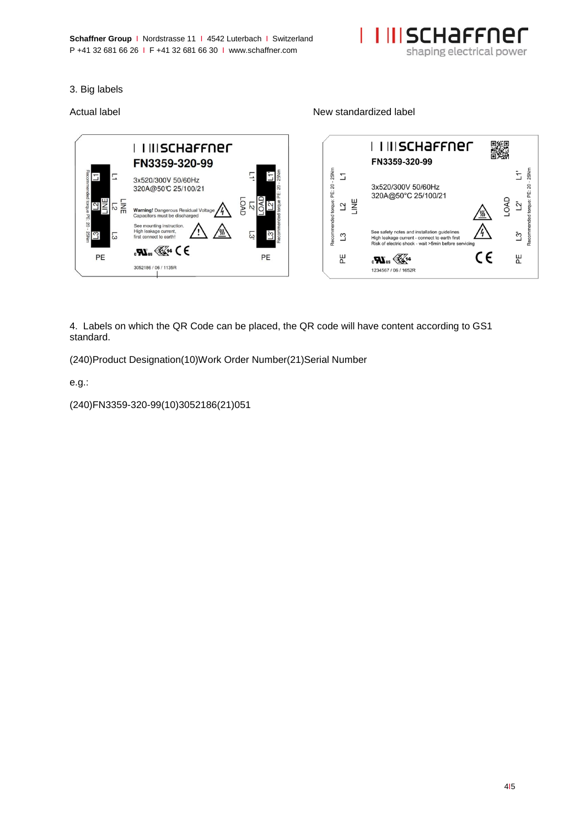**Schaffner Group | Nordstrasse 11 | 4542 Luterbach | Switzerland** P +41 32 681 66 26 I F +41 32 681 66 30 I www.schaffner.com



## 3. Big labels



4. Labels on which the QR Code can be placed, the QR code will have content according to GS1 standard.

(240)Product Designation(10)Work Order Number(21)Serial Number

e.g.:

(240)FN3359-320-99(10)3052186(21)051